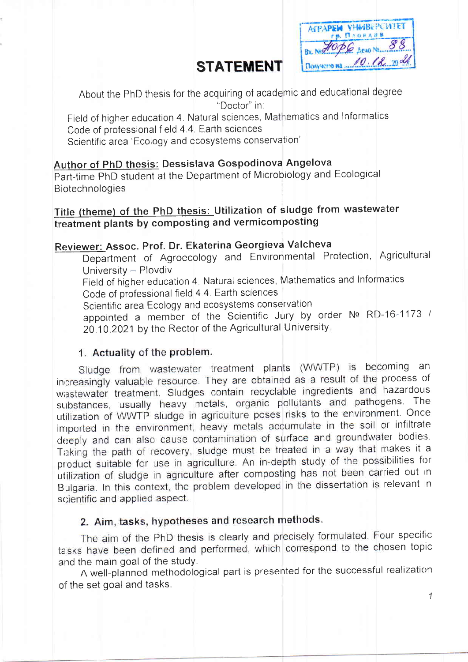## **STATEMENT**

AFPAPEM VHMBEPCWTET **ГР. ПАОЕДИВ** 90 PG AENO NE 88 Bx Nev Donysero na 10.12 20 21

About the PhD thesis for the acquiring of academic and educational degree "Doctor" in:

Field of higher education 4. Natural sciences, Mathematics and Informatics Code of professional field 4.4. Earth sciences Scientific area 'Ecology and ecosystems conservation'

### Author of PhD thesis: Dessislava Gospodinova Angelova

Part-time PhD student at the Department of Microbiology and Ecological **Biotechnologies** 

Title (theme) of the PhD thesis: Utilization of sludge from wastewater treatment plants by composting and vermicomposting

#### Reviewer: Assoc. Prof. Dr. Ekaterina Georgieva Valcheva

Department of Agroecology and Environmental Protection, Agricultural University - Plovdiv Field of higher education 4. Natural sciences, Mathematics and Informatics Code of professional field 4.4. Earth sciences Scientific area Ecology and ecosystems conservation appointed a member of the Scientific Jury by order Nº RD-16-1173 / 20.10.2021 by the Rector of the Agricultural University.

#### 1. Actuality of the problem.

Sludge from wastewater treatment plants (WWTP) is becoming an increasingly valuable resource. They are obtained as a result of the process of wastewater treatment. Sludges contain recyclable ingredients and hazardous substances, usually heavy metals, organic pollutants and pathogens. The utilization of WWTP sludge in agriculture poses risks to the environment. Once imported in the environment, heavy metals accumulate in the soil or infiltrate deeply and can also cause contamination of surface and groundwater bodies. Taking the path of recovery, sludge must be treated in a way that makes it a product suitable for use in agriculture. An in-depth study of the possibilities for utilization of sludge in agriculture after composting has not been carried out in Bulgaria. In this context, the problem developed in the dissertation is relevant in scientific and applied aspect.

### 2. Aim, tasks, hypotheses and research methods.

The aim of the PhD thesis is clearly and precisely formulated. Four specific tasks have been defined and performed, which correspond to the chosen topic and the main goal of the study.

A well-planned methodological part is presented for the successful realization of the set goal and tasks.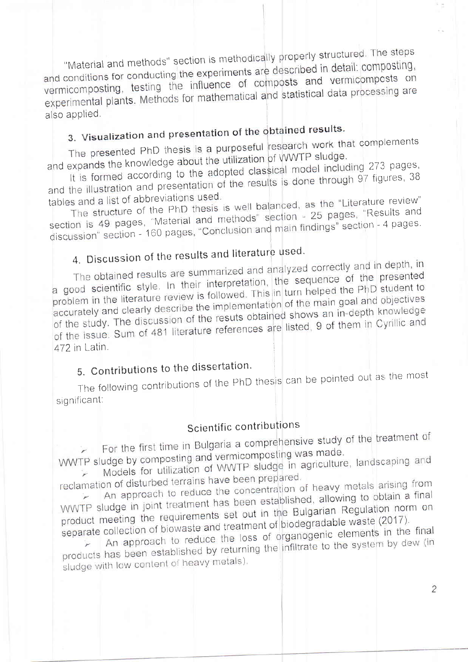"Material and methods" section is methodically properly structured. The steps and conditions for conducting the experiments are described in detail: composting, vermicomposting, testing the influence of composts and vermicomposts on experimental plants. Methods for mathematical and statistical data processing are also applied.

## 3. Visualization and presentation of the obtained results.

The presented PhD thesis is a purposeful research work that complements and expands the knowledge about the utilization of WWTP sludge.

It is formed according to the adopted classical model including 273 pages, and the illustration and presentation of the results is done through 97 figures, 38

tables and a list of abbreviations used. The structure of the PhD thesis is well balanced, as the "Literature review" section is 49 pages, "Material and methods" section - 25 pages, "Results and discussion" section - 160 pages, "Conclusion and main findings" section - 4 pages.

# 4. Discussion of the results and literature used.

The obtained results are summarized and analyzed correctly and in depth, in a good scientific style. In their interpretation, the sequence of the presented problem in the literature review is followed. This in turn helped the PhD student to accurately and clearly describe the implementation of the main goal and objectives of the study. The discussion of the resuts obtained shows an in-depth knowledge of the issue. Sum of 481 literature references are listed, 9 of them in Cyrillic and 472 in Latin.

### 5. Contributions to the dissertation.

The following contributions of the PhD thesis can be pointed out as the most significant:

### Scientific contributions

For the first time in Bulgaria a comprehensive study of the treatment of WWTP sludge by composting and vermicomposting was made.

Models for utilization of WWTP sludge in agriculture, landscaping and

reclamation of disturbed terrains have been prepared. An approach to reduce the concentration of heavy metals arising from WWTP sludge in joint treatment has been established, allowing to obtain a final

product meeting the requirements set out in the Bulgarian Regulation norm on separate collection of biowaste and treatment of biodegradable waste (2017).

An approach to reduce the loss of organogenic elements in the final products has been established by returning the infiltrate to the system by dew (in sludge with low content of heavy metals).

 $\overline{2}$